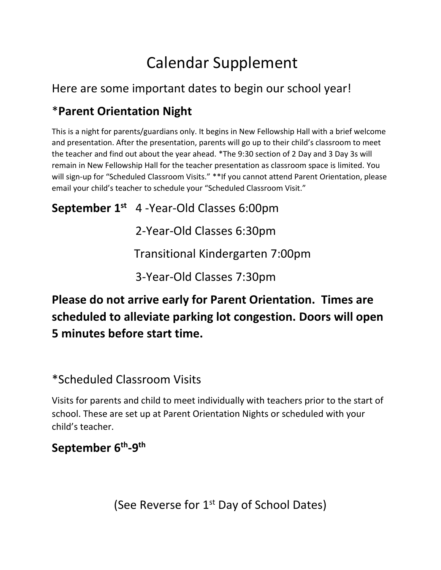# Calendar Supplement

#### Here are some important dates to begin our school year!

### \***Parent Orientation Night**

This is a night for parents/guardians only. It begins in New Fellowship Hall with a brief welcome and presentation. After the presentation, parents will go up to their child's classroom to meet the teacher and find out about the year ahead. \*The 9:30 section of 2 Day and 3 Day 3s will remain in New Fellowship Hall for the teacher presentation as classroom space is limited. You will sign-up for "Scheduled Classroom Visits." \*\*If you cannot attend Parent Orientation, please email your child's teacher to schedule your "Scheduled Classroom Visit."

**September 1 st** 4 -Year-Old Classes 6:00pm

2-Year-Old Classes 6:30pm

Transitional Kindergarten 7:00pm

3-Year-Old Classes 7:30pm

## **Please do not arrive early for Parent Orientation. Times are scheduled to alleviate parking lot congestion. Doors will open 5 minutes before start time.**

#### \*Scheduled Classroom Visits

Visits for parents and child to meet individually with teachers prior to the start of school. These are set up at Parent Orientation Nights or scheduled with your child's teacher.

## **September 6 th -9 th**

(See Reverse for 1<sup>st</sup> Day of School Dates)